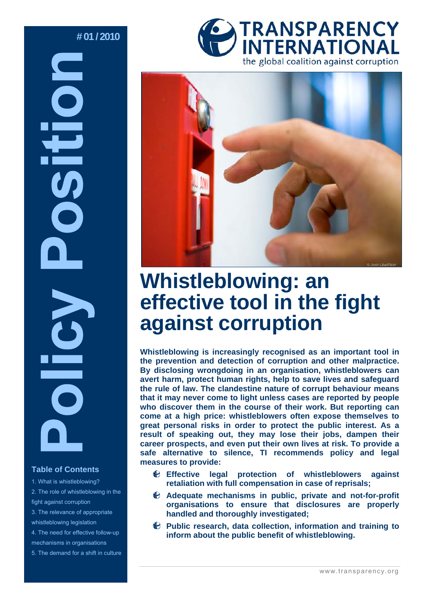# **# 01 / 2010 DEI**

# **Table of Contents**

- 1. What is whistleblowing? 2. The role of whistleblowing in the fight against corruption 3. The relevance of appropriate whistleblowing legislation 4. The need for effective follow-up mechanisms in organisations
- 5. The demand for a shift in culture





# **Whistleblowing: an effective tool in the fight against corruption**

**Whistleblowing is increasingly recognised as an important tool in the prevention and detection of corruption and other malpractice. By disclosing wrongdoing in an organisation, whistleblowers can avert harm, protect human rights, help to save lives and safeguard the rule of law. The clandestine nature of corrupt behaviour means that it may never come to light unless cases are reported by people who discover them in the course of their work. But reporting can come at a high price: whistleblowers often expose themselves to great personal risks in order to protect the public interest. As a result of speaking out, they may lose their jobs, dampen their career prospects, and even put their own lives at risk. To provide a safe alternative to silence, TI recommends policy and legal measures to provide:** 

- **Effective legal protection of whistleblowers against retaliation with full compensation in case of reprisals;**
- **Adequate mechanisms in public, private and not-for-profit organisations to ensure that disclosures are properly handled and thoroughly investigated;**
- **Public research, data collection, information and training to inform about the public benefit of whistleblowing.**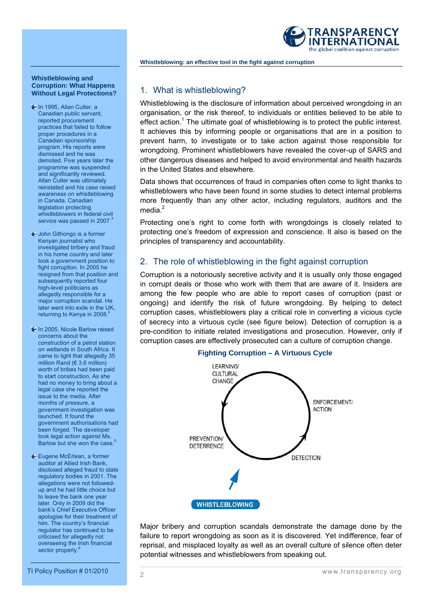

#### **Whistleblowing and Corruption: What Happens Without Legal Protections?**

- In 1995, Allan Cutler, a Canadian public servant, reported procurement practices that failed to follow proper procedures in a Canadian sponsorship program. His reports were dismissed and he was demoted. Five years later the programme was suspended and significantly reviewed. Allan Cutler was ultimately reinstated and his case raised awareness on whistleblowing in Canada. Canadian legislation protecting whistleblowers in federal civil service was passed in 2007.
- John Githongo is a former Kenyan journalist who investigated bribery and fraud in his home country and later took a government position to fight corruption. In 2005 he resigned from that position and subsequently reported four high-level politicians as allegedly responsible for a major corruption scandal. He later went into exile in the UK, returning to Kenya in 2008.<sup>4</sup>
- In 2005, Nicole Barlow raised concerns about the construction of a petrol station on wetlands in South Africa. It came to light that allegedly 35 million Rand ( $€ 3.6$  million) worth of bribes had been paid to start construction. As she had no money to bring about a legal case she reported the issue to the media. After months of pressure, a government investigation was launched. It found the government authorisations had been forged. The developer took legal action against Ms. Barlow but she won the case.<sup>5</sup>
- Eugene McErlean, a former auditor at Allied Irish Bank, disclosed alleged fraud to state regulatory bodies in 2001. The allegations were not followedup and he had little choice but to leave the bank one year later. Only in 2009 did the bank's Chief Executive Officer apologise for their treatment of him. The country's financial regulator has continued to be criticised for allegedly not overseeing the Irish financial sector properly.

# 1. What is whistleblowing?

Whistleblowing is the disclosure of information about perceived wrongdoing in an organisation, or the risk thereof, to individuals or entities believed to be able to effect action.<sup>1</sup> The ultimate goal of whistleblowing is to protect the public interest. It achieves this by informing people or organisations that are in a position to prevent harm, to investigate or to take action against those responsible for wrongdoing. Prominent whistleblowers have revealed the cover-up of SARS and other dangerous diseases and helped to avoid environmental and health hazards in the United States and elsewhere.

Data shows that occurrences of fraud in companies often come to light thanks to whistleblowers who have been found in some studies to detect internal problems more frequently than any other actor, including regulators, auditors and the media. $<sup>2</sup>$ </sup>

Protecting one's right to come forth with wrongdoings is closely related to protecting one's freedom of expression and conscience. It also is based on the principles of transparency and accountability.

# 2. The role of whistleblowing in the fight against corruption

Corruption is a notoriously secretive activity and it is usually only those engaged in corrupt deals or those who work with them that are aware of it. Insiders are among the few people who are able to report cases of corruption (past or ongoing) and identify the risk of future wrongdoing. By helping to detect corruption cases, whistleblowers play a critical role in converting a vicious cycle of secrecy into a virtuous cycle (see figure below). Detection of corruption is a pre-condition to initiate related investigations and prosecution. However, only if corruption cases are effectively prosecuted can a culture of corruption change.



Major bribery and corruption scandals demonstrate the damage done by the failure to report wrongdoing as soon as it is discovered. Yet indifference, fear of reprisal, and misplaced loyalty as well as an overall culture of silence often deter potential witnesses and whistleblowers from speaking out.

TI Policy Position # 01/2010 www.transparency.org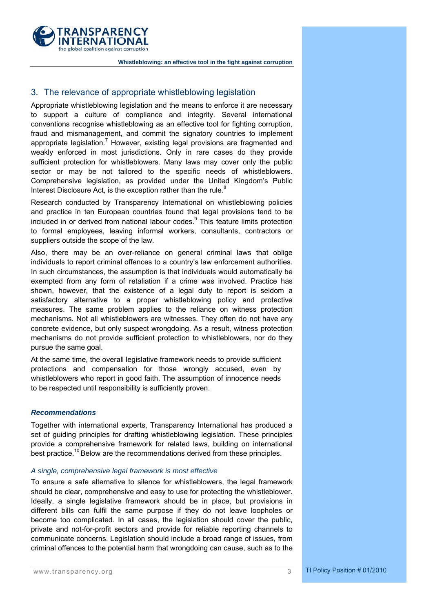

# 3. The relevance of appropriate whistleblowing legislation

Appropriate whistleblowing legislation and the means to enforce it are necessary to support a culture of compliance and integrity. Several international conventions recognise whistleblowing as an effective tool for fighting corruption, fraud and mismanagement, and commit the signatory countries to implement appropriate legislation.<sup>7</sup> However, existing legal provisions are fragmented and weakly enforced in most jurisdictions. Only in rare cases do they provide sufficient protection for whistleblowers. Many laws may cover only the public sector or may be not tailored to the specific needs of whistleblowers. Comprehensive legislation, as provided under the United Kingdom's Public Interest Disclosure Act, is the exception rather than the rule. $8$ 

Research conducted by Transparency International on whistleblowing policies and practice in ten European countries found that legal provisions tend to be included in or derived from national labour codes.<sup>9</sup> This feature limits protection to formal employees, leaving informal workers, consultants, contractors or suppliers outside the scope of the law.

Also, there may be an over-reliance on general criminal laws that oblige individuals to report criminal offences to a country's law enforcement authorities. In such circumstances, the assumption is that individuals would automatically be exempted from any form of retaliation if a crime was involved. Practice has shown, however, that the existence of a legal duty to report is seldom a satisfactory alternative to a proper whistleblowing policy and protective measures. The same problem applies to the reliance on witness protection mechanisms. Not all whistleblowers are witnesses. They often do not have any concrete evidence, but only suspect wrongdoing. As a result, witness protection mechanisms do not provide sufficient protection to whistleblowers, nor do they pursue the same goal.

At the same time, the overall legislative framework needs to provide sufficient protections and compensation for those wrongly accused, even by whistleblowers who report in good faith. The assumption of innocence needs to be respected until responsibility is sufficiently proven.

#### *Recommendations*

Together with international experts, Transparency International has produced a set of guiding principles for drafting whistleblowing legislation. These principles provide a comprehensive framework for related laws, building on international best practice.<sup>10</sup> Below are the recommendations derived from these principles.

# *A single, comprehensive legal framework is most effective*

To ensure a safe alternative to silence for whistleblowers, the legal framework should be clear, comprehensive and easy to use for protecting the whistleblower. Ideally, a single legislative framework should be in place, but provisions in different bills can fulfil the same purpose if they do not leave loopholes or become too complicated. In all cases, the legislation should cover the public, private and not-for-profit sectors and provide for reliable reporting channels to communicate concerns. Legislation should include a broad range of issues, from criminal offences to the potential harm that wrongdoing can cause, such as to the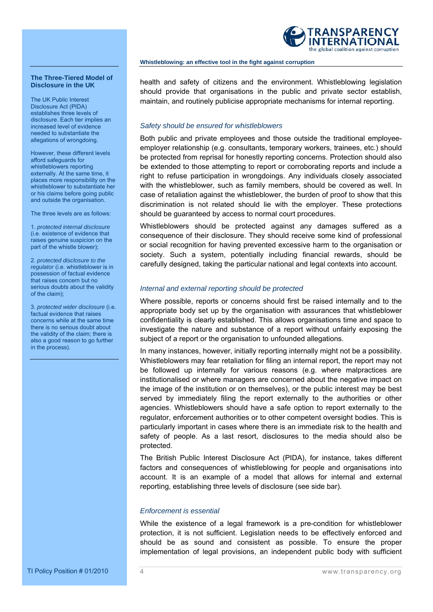

**The Three-Tiered Model of Disclosure in the UK** 

The UK Public Interest Disclosure Act (PIDA) establishes three levels of disclosure. Each tier implies an increased level of evidence needed to substantiate the allegations of wrongdoing.

However, these different levels afford safeguards for whistleblowers reporting externally. At the same time, it places more responsibility on the whistleblower to substantiate her or his claims before going public and outside the organisation.

The three levels are as follows:

1. *protected internal disclosure*  (i.e. existence of evidence that raises genuine suspicion on the part of the whistle blower);

2. *protected disclosure to the regulator* (i.e. whistleblower is in possession of factual evidence that raises concern but no serious doubts about the validity of the claim);

3. *protected wider disclosure* (i.e. factual evidence that raises concerns while at the same time there is no serious doubt about the validity of the claim; there is also a good reason to go further in the process).

health and safety of citizens and the environment. Whistleblowing legislation should provide that organisations in the public and private sector establish, maintain, and routinely publicise appropriate mechanisms for internal reporting.

# *Safety should be ensured for whistleblowers*

Both public and private employees and those outside the traditional employeeemployer relationship (e.g. consultants, temporary workers, trainees, etc.) should be protected from reprisal for honestly reporting concerns. Protection should also be extended to those attempting to report or corroborating reports and include a right to refuse participation in wrongdoings. Any individuals closely associated with the whistleblower, such as family members, should be covered as well. In case of retaliation against the whistleblower, the burden of proof to show that this discrimination is not related should lie with the employer. These protections should be guaranteed by access to normal court procedures.

Whistleblowers should be protected against any damages suffered as a consequence of their disclosure. They should receive some kind of professional or social recognition for having prevented excessive harm to the organisation or society. Such a system, potentially including financial rewards, should be carefully designed, taking the particular national and legal contexts into account.

## *Internal and external reporting should be protected*

Where possible, reports or concerns should first be raised internally and to the appropriate body set up by the organisation with assurances that whistleblower confidentiality is clearly established. This allows organisations time and space to investigate the nature and substance of a report without unfairly exposing the subject of a report or the organisation to unfounded allegations.

In many instances, however, initially reporting internally might not be a possibility. Whistleblowers may fear retaliation for filing an internal report, the report may not be followed up internally for various reasons (e.g. where malpractices are institutionalised or where managers are concerned about the negative impact on the image of the institution or on themselves), or the public interest may be best served by immediately filing the report externally to the authorities or other agencies. Whistleblowers should have a safe option to report externally to the regulator, enforcement authorities or to other competent oversight bodies. This is particularly important in cases where there is an immediate risk to the health and safety of people. As a last resort, disclosures to the media should also be protected.

The British Public Interest Disclosure Act (PIDA), for instance, takes different factors and consequences of whistleblowing for people and organisations into account. It is an example of a model that allows for internal and external reporting, establishing three levels of disclosure (see side bar).

#### *Enforcement is essential*

While the existence of a legal framework is a pre-condition for whistleblower protection, it is not sufficient. Legislation needs to be effectively enforced and should be as sound and consistent as possible. To ensure the proper implementation of legal provisions, an independent public body with sufficient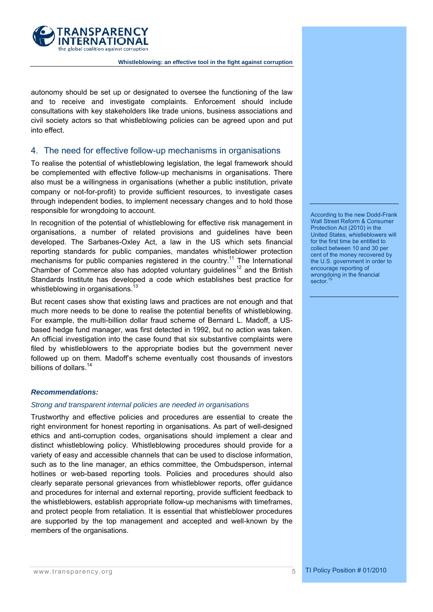

autonomy should be set up or designated to oversee the functioning of the law and to receive and investigate complaints. Enforcement should include consultations with key stakeholders like trade unions, business associations and civil society actors so that whistleblowing policies can be agreed upon and put into effect.

# 4. The need for effective follow-up mechanisms in organisations

To realise the potential of whistleblowing legislation, the legal framework should be complemented with effective follow-up mechanisms in organisations. There also must be a willingness in organisations (whether a public institution, private company or not-for-profit) to provide sufficient resources, to investigate cases through independent bodies, to implement necessary changes and to hold those responsible for wrongdoing to account.

In recognition of the potential of whistleblowing for effective risk management in organisations, a number of related provisions and guidelines have been developed. The Sarbanes-Oxley Act, a law in the US which sets financial reporting standards for public companies, mandates whistleblower protection mechanisms for public companies registered in the country.<sup>11</sup> The International Chamber of Commerce also has adopted voluntary guidelines<sup>12</sup> and the British Standards Institute has developed a code which establishes best practice for whistleblowing in organisations.<sup>13</sup>

But recent cases show that existing laws and practices are not enough and that much more needs to be done to realise the potential benefits of whistleblowing. For example, the multi-billion dollar fraud scheme of Bernard L. Madoff, a USbased hedge fund manager, was first detected in 1992, but no action was taken. An official investigation into the case found that six substantive complaints were filed by whistleblowers to the appropriate bodies but the government never followed up on them. Madoff's scheme eventually cost thousands of investors billions of dollars.<sup>14</sup>

# *Recommendations:*

# *Strong and transparent internal policies are needed in organisations*

Trustworthy and effective policies and procedures are essential to create the right environment for honest reporting in organisations. As part of well-designed ethics and anti-corruption codes, organisations should implement a clear and distinct whistleblowing policy. Whistleblowing procedures should provide for a variety of easy and accessible channels that can be used to disclose information, such as to the line manager, an ethics committee, the Ombudsperson, internal hotlines or web-based reporting tools. Policies and procedures should also clearly separate personal grievances from whistleblower reports, offer guidance and procedures for internal and external reporting, provide sufficient feedback to the whistleblowers, establish appropriate follow-up mechanisms with timeframes, and protect people from retaliation. It is essential that whistleblower procedures are supported by the top management and accepted and well-known by the members of the organisations.

According to the new Dodd-Frank Wall Street Reform & Consumer Protection Act (2010) in the United States, whistleblowers will for the first time be entitled to collect between 10 and 30 per cent of the money recovered by the U.S. government in order to encourage reporting of wrongdoing in the financial sector.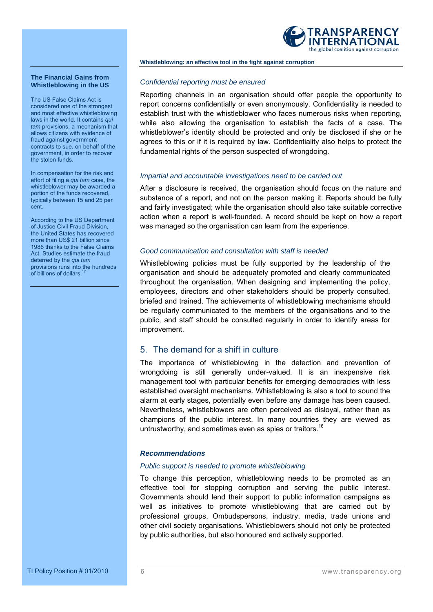

#### **The Financial Gains from Whistleblowing in the US**

The US False Claims Act is considered one of the strongest and most effective whistleblowing laws in the world. It contains *qui tam* provisions, a mechanism that allows citizens with evidence of fraud against government contracts to sue, on behalf of the government, in order to recover the stolen funds.

In compensation for the risk and effort of filing a *qui tam* case, the whistleblower may be awarded a portion of the funds recovered, typically between 15 and 25 per cent.

According to the US Department of Justice Civil Fraud Division, the United States has recovered more than US\$ 21 billion since 1986 thanks to the False Claims Act. Studies estimate the fraud deterred by the *qui tam* provisions runs into the hundreds of billions of dollars.

### *Confidential reporting must be ensured*

Reporting channels in an organisation should offer people the opportunity to report concerns confidentially or even anonymously. Confidentiality is needed to establish trust with the whistleblower who faces numerous risks when reporting, while also allowing the organisation to establish the facts of a case. The whistleblower's identity should be protected and only be disclosed if she or he agrees to this or if it is required by law. Confidentiality also helps to protect the fundamental rights of the person suspected of wrongdoing.

#### *Impartial and accountable investigations need to be carried out*

After a disclosure is received, the organisation should focus on the nature and substance of a report, and not on the person making it. Reports should be fully and fairly investigated; while the organisation should also take suitable corrective action when a report is well-founded. A record should be kept on how a report was managed so the organisation can learn from the experience.

#### *Good communication and consultation with staff is needed*

Whistleblowing policies must be fully supported by the leadership of the organisation and should be adequately promoted and clearly communicated throughout the organisation. When designing and implementing the policy, employees, directors and other stakeholders should be properly consulted, briefed and trained. The achievements of whistleblowing mechanisms should be regularly communicated to the members of the organisations and to the public, and staff should be consulted regularly in order to identify areas for improvement.

# 5. The demand for a shift in culture

The importance of whistleblowing in the detection and prevention of wrongdoing is still generally under-valued. It is an inexpensive risk management tool with particular benefits for emerging democracies with less established oversight mechanisms. Whistleblowing is also a tool to sound the alarm at early stages, potentially even before any damage has been caused. Nevertheless, whistleblowers are often perceived as disloyal, rather than as champions of the public interest. In many countries they are viewed as untrustworthy, and sometimes even as spies or traitors.<sup>16</sup>

### *Recommendations*

#### *Public support is needed to promote whistleblowing*

To change this perception, whistleblowing needs to be promoted as an effective tool for stopping corruption and serving the public interest. Governments should lend their support to public information campaigns as well as initiatives to promote whistleblowing that are carried out by professional groups, Ombudspersons, industry, media, trade unions and other civil society organisations. Whistleblowers should not only be protected by public authorities, but also honoured and actively supported.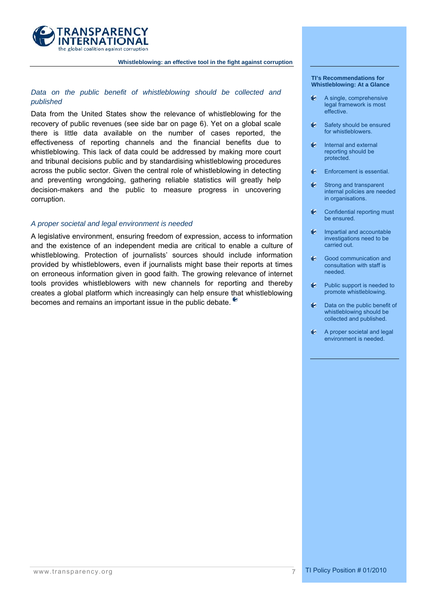

# *Data on the public benefit of whistleblowing should be collected and published*

Data from the United States show the relevance of whistleblowing for the recovery of public revenues (see side bar on page 6). Yet on a global scale there is little data available on the number of cases reported, the effectiveness of reporting channels and the financial benefits due to whistleblowing. This lack of data could be addressed by making more court and tribunal decisions public and by standardising whistleblowing procedures across the public sector. Given the central role of whistleblowing in detecting and preventing wrongdoing, gathering reliable statistics will greatly help decision-makers and the public to measure progress in uncovering corruption.

#### *A proper societal and legal environment is needed*

A legislative environment, ensuring freedom of expression, access to information and the existence of an independent media are critical to enable a culture of whistleblowing. Protection of journalists' sources should include information provided by whistleblowers, even if journalists might base their reports at times on erroneous information given in good faith. The growing relevance of internet tools provides whistleblowers with new channels for reporting and thereby creates a global platform which increasingly can help ensure that whistleblowing becomes and remains an important issue in the public debate.

#### **TI's Recommendations for Whistleblowing: At a Glance**

- e A single, comprehensive legal framework is most effective.
- Safety should be ensured for whistleblowers.
- Internal and external reporting should be protected.
- Enforcement is essential.
- **♦ Strong and transparent** internal policies are needed in organisations.
- Confidential reporting must be ensured.
- $\bullet$  Impartial and accountable investigations need to be carried out.
- **E** Good communication and consultation with staff is needed.
- **Public support is needed to** promote whistleblowing.
- $\bullet$  Data on the public benefit of whistleblowing should be collected and published.
- A proper societal and legal environment is needed.